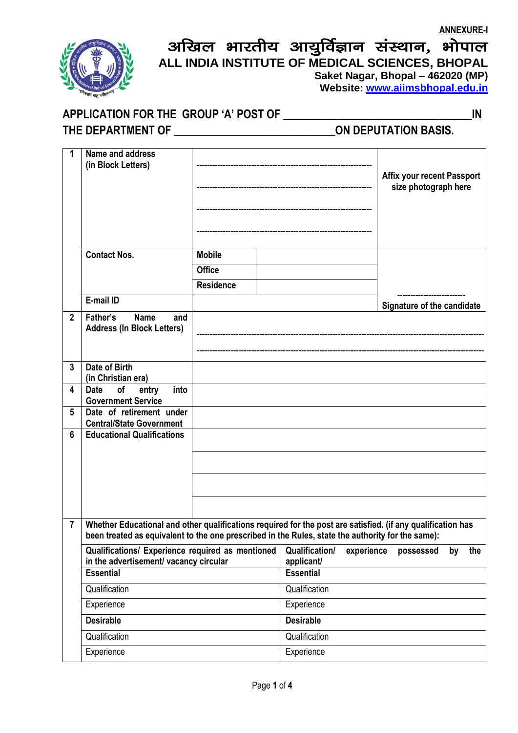## अखिल भारतीय आयुर्विज्ञान संस्थान, भोपाल **ALL INDIA INSTITUTE OF MEDICAL SCIENCES, BHOPAL Saket Nagar, Bhopal – 462020 (MP)**

 **Website: [www.aiimsbhopal.edu.in](http://www.aiimsbhopal.edu.in/)**

## **APPLICATION FOR THE GROUP 'A' POST OF \_\_\_\_\_\_\_\_\_\_\_\_\_\_\_\_\_\_\_\_\_\_\_\_\_\_\_\_\_\_\_\_\_\_IN**

**THE DEPARTMENT OF \_\_\_\_\_\_\_\_\_\_\_\_\_\_\_\_\_\_\_\_\_\_\_\_\_\_\_\_\_ON DEPUTATION BASIS.**

| 1              | Name and address                                                                                            |                  |                                |            |                                   |    |     |
|----------------|-------------------------------------------------------------------------------------------------------------|------------------|--------------------------------|------------|-----------------------------------|----|-----|
|                | (in Block Letters)                                                                                          |                  |                                |            | <b>Affix your recent Passport</b> |    |     |
|                |                                                                                                             |                  |                                |            | size photograph here              |    |     |
|                |                                                                                                             |                  |                                |            |                                   |    |     |
|                |                                                                                                             |                  |                                |            |                                   |    |     |
|                |                                                                                                             |                  |                                |            |                                   |    |     |
|                |                                                                                                             |                  |                                |            |                                   |    |     |
|                | <b>Contact Nos.</b>                                                                                         | <b>Mobile</b>    |                                |            |                                   |    |     |
|                |                                                                                                             | <b>Office</b>    |                                |            |                                   |    |     |
|                |                                                                                                             | <b>Residence</b> |                                |            |                                   |    |     |
|                | E-mail ID                                                                                                   |                  |                                |            | Signature of the candidate        |    |     |
| $\mathbf{2}$   | Father's<br><b>Name</b><br>and                                                                              |                  |                                |            |                                   |    |     |
|                | <b>Address (In Block Letters)</b>                                                                           |                  |                                |            |                                   |    |     |
|                |                                                                                                             |                  |                                |            |                                   |    |     |
| $\overline{3}$ | Date of Birth                                                                                               |                  |                                |            |                                   |    |     |
|                | (in Christian era)                                                                                          |                  |                                |            |                                   |    |     |
| 4              | into<br><b>Date</b><br>of<br>entry                                                                          |                  |                                |            |                                   |    |     |
| 5              | <b>Government Service</b><br>Date of retirement under                                                       |                  |                                |            |                                   |    |     |
|                | <b>Central/State Government</b>                                                                             |                  |                                |            |                                   |    |     |
| 6              | <b>Educational Qualifications</b>                                                                           |                  |                                |            |                                   |    |     |
|                |                                                                                                             |                  |                                |            |                                   |    |     |
|                |                                                                                                             |                  |                                |            |                                   |    |     |
|                |                                                                                                             |                  |                                |            |                                   |    |     |
|                |                                                                                                             |                  |                                |            |                                   |    |     |
| $\overline{7}$ | Whether Educational and other qualifications required for the post are satisfied. (if any qualification has |                  |                                |            |                                   |    |     |
|                | been treated as equivalent to the one prescribed in the Rules, state the authority for the same):           |                  |                                |            |                                   |    |     |
|                | Qualifications/ Experience required as mentioned                                                            |                  | <b>Qualification/</b>          | experience | possessed                         | by | the |
|                | in the advertisement/ vacancy circular<br><b>Essential</b>                                                  |                  | applicant/<br><b>Essential</b> |            |                                   |    |     |
|                | Qualification                                                                                               |                  | Qualification                  |            |                                   |    |     |
|                |                                                                                                             |                  |                                |            |                                   |    |     |
|                | Experience                                                                                                  |                  | Experience                     |            |                                   |    |     |
|                | <b>Desirable</b>                                                                                            |                  | <b>Desirable</b>               |            |                                   |    |     |
|                | Qualification                                                                                               | Qualification    |                                |            |                                   |    |     |
|                | Experience                                                                                                  |                  | Experience                     |            |                                   |    |     |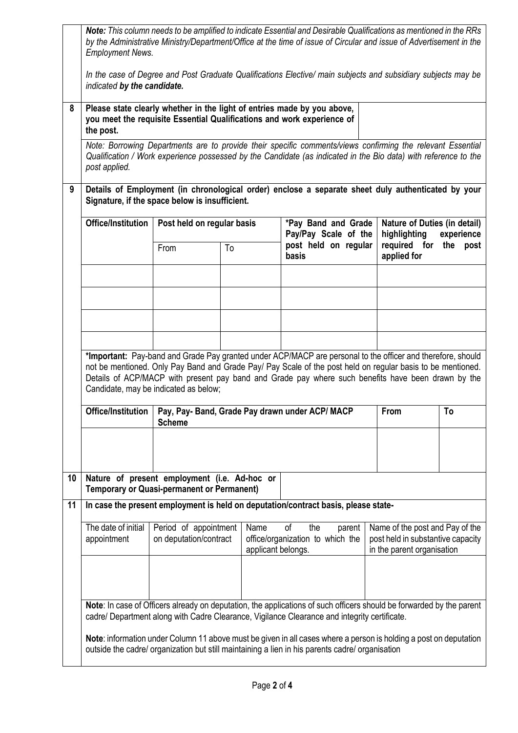|    | Note: This column needs to be amplified to indicate Essential and Desirable Qualifications as mentioned in the RRs<br>by the Administrative Ministry/Department/Office at the time of issue of Circular and issue of Advertisement in the<br><b>Employment News.</b>                                                                                                      |                                                 |    |                                             |                                                                                                                                                                                                                      |                                                            |                                                                                                    |    |
|----|---------------------------------------------------------------------------------------------------------------------------------------------------------------------------------------------------------------------------------------------------------------------------------------------------------------------------------------------------------------------------|-------------------------------------------------|----|---------------------------------------------|----------------------------------------------------------------------------------------------------------------------------------------------------------------------------------------------------------------------|------------------------------------------------------------|----------------------------------------------------------------------------------------------------|----|
|    | indicated by the candidate.                                                                                                                                                                                                                                                                                                                                               |                                                 |    |                                             | In the case of Degree and Post Graduate Qualifications Elective/ main subjects and subsidiary subjects may be                                                                                                        |                                                            |                                                                                                    |    |
| 8  | Please state clearly whether in the light of entries made by you above,<br>you meet the requisite Essential Qualifications and work experience of<br>the post.                                                                                                                                                                                                            |                                                 |    |                                             |                                                                                                                                                                                                                      |                                                            |                                                                                                    |    |
|    | Note: Borrowing Departments are to provide their specific comments/views confirming the relevant Essential<br>Qualification / Work experience possessed by the Candidate (as indicated in the Bio data) with reference to the<br>post applied.                                                                                                                            |                                                 |    |                                             |                                                                                                                                                                                                                      |                                                            |                                                                                                    |    |
| 9  | Details of Employment (in chronological order) enclose a separate sheet duly authenticated by your<br>Signature, if the space below is insufficient.                                                                                                                                                                                                                      |                                                 |    |                                             |                                                                                                                                                                                                                      |                                                            |                                                                                                    |    |
|    | <b>Office/Institution</b>                                                                                                                                                                                                                                                                                                                                                 | Post held on regular basis                      |    | *Pay Band and Grade<br>Pay/Pay Scale of the |                                                                                                                                                                                                                      | Nature of Duties (in detail)<br>highlighting<br>experience |                                                                                                    |    |
|    |                                                                                                                                                                                                                                                                                                                                                                           | From                                            | To |                                             | post held on regular<br>basis                                                                                                                                                                                        |                                                            | required for<br>the<br>post<br>applied for                                                         |    |
|    |                                                                                                                                                                                                                                                                                                                                                                           |                                                 |    |                                             |                                                                                                                                                                                                                      |                                                            |                                                                                                    |    |
|    |                                                                                                                                                                                                                                                                                                                                                                           |                                                 |    |                                             |                                                                                                                                                                                                                      |                                                            |                                                                                                    |    |
|    | *Important: Pay-band and Grade Pay granted under ACP/MACP are personal to the officer and therefore, should<br>not be mentioned. Only Pay Band and Grade Pay/ Pay Scale of the post held on regular basis to be mentioned.<br>Details of ACP/MACP with present pay band and Grade pay where such benefits have been drawn by the<br>Candidate, may be indicated as below; |                                                 |    |                                             |                                                                                                                                                                                                                      |                                                            |                                                                                                    |    |
|    |                                                                                                                                                                                                                                                                                                                                                                           | <b>Scheme</b>                                   |    |                                             | Office/Institution   Pay, Pay- Band, Grade Pay drawn under ACP/ MACP                                                                                                                                                 |                                                            | From                                                                                               | To |
|    |                                                                                                                                                                                                                                                                                                                                                                           |                                                 |    |                                             |                                                                                                                                                                                                                      |                                                            |                                                                                                    |    |
| 10 | Nature of present employment (i.e. Ad-hoc or<br><b>Temporary or Quasi-permanent or Permanent)</b>                                                                                                                                                                                                                                                                         |                                                 |    |                                             |                                                                                                                                                                                                                      |                                                            |                                                                                                    |    |
| 11 | In case the present employment is held on deputation/contract basis, please state-                                                                                                                                                                                                                                                                                        |                                                 |    |                                             |                                                                                                                                                                                                                      |                                                            |                                                                                                    |    |
|    | The date of initial<br>appointment                                                                                                                                                                                                                                                                                                                                        | Period of appointment<br>on deputation/contract |    | Name<br>applicant belongs.                  | οf<br>the<br>office/organization to which the                                                                                                                                                                        | parent                                                     | Name of the post and Pay of the<br>post held in substantive capacity<br>in the parent organisation |    |
|    |                                                                                                                                                                                                                                                                                                                                                                           |                                                 |    |                                             |                                                                                                                                                                                                                      |                                                            |                                                                                                    |    |
|    |                                                                                                                                                                                                                                                                                                                                                                           |                                                 |    |                                             | Note: In case of Officers already on deputation, the applications of such officers should be forwarded by the parent<br>cadre/ Department along with Cadre Clearance, Vigilance Clearance and integrity certificate. |                                                            |                                                                                                    |    |
|    | Note: information under Column 11 above must be given in all cases where a person is holding a post on deputation<br>outside the cadre/ organization but still maintaining a lien in his parents cadre/ organisation                                                                                                                                                      |                                                 |    |                                             |                                                                                                                                                                                                                      |                                                            |                                                                                                    |    |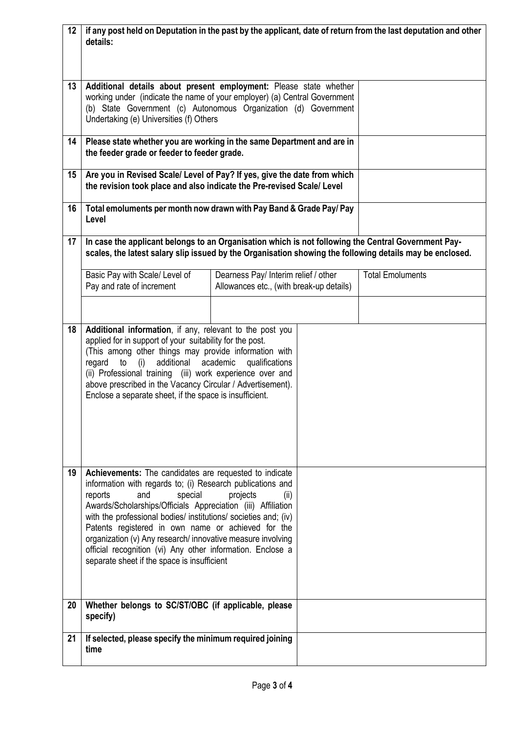| 12 <sup>2</sup> | details:                                                                                                                                                                                                                                                                                                                                                                                                                                                                                                              | if any post held on Deputation in the past by the applicant, date of return from the last deputation and other |                         |  |  |  |
|-----------------|-----------------------------------------------------------------------------------------------------------------------------------------------------------------------------------------------------------------------------------------------------------------------------------------------------------------------------------------------------------------------------------------------------------------------------------------------------------------------------------------------------------------------|----------------------------------------------------------------------------------------------------------------|-------------------------|--|--|--|
| 13              | Additional details about present employment: Please state whether<br>working under (indicate the name of your employer) (a) Central Government<br>(b) State Government (c) Autonomous Organization (d) Government<br>Undertaking (e) Universities (f) Others                                                                                                                                                                                                                                                          |                                                                                                                |                         |  |  |  |
| 14              | Please state whether you are working in the same Department and are in<br>the feeder grade or feeder to feeder grade.                                                                                                                                                                                                                                                                                                                                                                                                 |                                                                                                                |                         |  |  |  |
| 15              | Are you in Revised Scale/ Level of Pay? If yes, give the date from which<br>the revision took place and also indicate the Pre-revised Scale/ Level                                                                                                                                                                                                                                                                                                                                                                    |                                                                                                                |                         |  |  |  |
| 16              | Total emoluments per month now drawn with Pay Band & Grade Pay/ Pay<br>Level                                                                                                                                                                                                                                                                                                                                                                                                                                          |                                                                                                                |                         |  |  |  |
| 17              | In case the applicant belongs to an Organisation which is not following the Central Government Pay-<br>scales, the latest salary slip issued by the Organisation showing the following details may be enclosed.                                                                                                                                                                                                                                                                                                       |                                                                                                                |                         |  |  |  |
|                 | Basic Pay with Scale/ Level of<br>Pay and rate of increment                                                                                                                                                                                                                                                                                                                                                                                                                                                           | Dearness Pay/ Interim relief / other<br>Allowances etc., (with break-up details)                               | <b>Total Emoluments</b> |  |  |  |
| 18              | Additional information, if any, relevant to the post you<br>applied for in support of your suitability for the post.<br>(This among other things may provide information with<br>regard to (i)<br>additional<br>(ii) Professional training (iii) work experience over and<br>above prescribed in the Vacancy Circular / Advertisement).<br>Enclose a separate sheet, if the space is insufficient.                                                                                                                    | academic<br>qualifications                                                                                     |                         |  |  |  |
| 19              | Achievements: The candidates are requested to indicate<br>information with regards to; (i) Research publications and<br>reports<br>special<br>and<br>Awards/Scholarships/Officials Appreciation (iii) Affiliation<br>with the professional bodies/ institutions/ societies and; (iv)<br>Patents registered in own name or achieved for the<br>organization (v) Any research/innovative measure involving<br>official recognition (vi) Any other information. Enclose a<br>separate sheet if the space is insufficient | projects<br>(ii)                                                                                               |                         |  |  |  |
| 20              | Whether belongs to SC/ST/OBC (if applicable, please<br>specify)                                                                                                                                                                                                                                                                                                                                                                                                                                                       |                                                                                                                |                         |  |  |  |
| 21              | If selected, please specify the minimum required joining<br>time                                                                                                                                                                                                                                                                                                                                                                                                                                                      |                                                                                                                |                         |  |  |  |